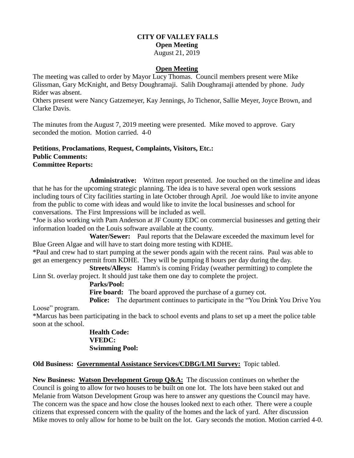# **CITY OF VALLEY FALLS Open Meeting**

### August 21, 2019

#### **Open Meeting**

The meeting was called to order by Mayor Lucy Thomas. Council members present were Mike Glissman, Gary McKnight, and Betsy Doughramaji. Salih Doughramaji attended by phone. Judy Rider was absent.

Others present were Nancy Gatzemeyer, Kay Jennings, Jo Tichenor, Sallie Meyer, Joyce Brown, and Clarke Davis.

The minutes from the August 7, 2019 meeting were presented. Mike moved to approve. Gary seconded the motion. Motion carried. 4-0

#### **Petitions**, **Proclamations**, **Request, Complaints, Visitors, Etc.: Public Comments: Committee Reports:**

**Administrative:** Written report presented. Joe touched on the timeline and ideas that he has for the upcoming strategic planning. The idea is to have several open work sessions including tours of City facilities starting in late October through April. Joe would like to invite anyone from the public to come with ideas and would like to invite the local businesses and school for conversations. The First Impressions will be included as well.

\*Joe is also working with Pam Anderson at JF County EDC on commercial businesses and getting their information loaded on the Louis software available at the county.

 **Water/Sewer:** Paul reports that the Delaware exceeded the maximum level for Blue Green Algae and will have to start doing more testing with KDHE.

\*Paul and crew had to start pumping at the sewer ponds again with the recent rains. Paul was able to get an emergency permit from KDHE. They will be pumping 8 hours per day during the day.

**Streets/Alleys:** Hamm's is coming Friday (weather permitting) to complete the Linn St. overlay project. It should just take them one day to complete the project.

#### **Parks/Pool:**

Fire board: The board approved the purchase of a gurney cot.

**Police:** The department continues to participate in the "You Drink You Drive You

Loose" program.

\*Marcus has been participating in the back to school events and plans to set up a meet the police table soon at the school.

> **Health Code: VFEDC: Swimming Pool:**

## **Old Business: Governmental Assistance Services/CDBG/LMI Survey:** Topic tabled.

**New Business: Watson Development Group Q&A:** The discussion continues on whether the Council is going to allow for two houses to be built on one lot. The lots have been staked out and Melanie from Watson Development Group was here to answer any questions the Council may have. The concern was the space and how close the houses looked next to each other. There were a couple citizens that expressed concern with the quality of the homes and the lack of yard. After discussion Mike moves to only allow for home to be built on the lot. Gary seconds the motion. Motion carried 4-0.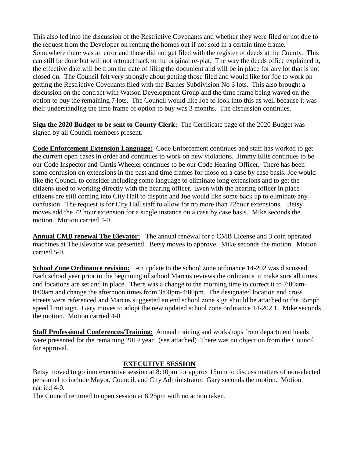This also led into the discussion of the Restrictive Covenants and whether they were filed or not due to the request from the Developer on renting the homes out if not sold in a certain time frame. Somewhere there was an error and those did not get filed with the register of deeds at the County. This can still be done but will not retroact back to the original re-plat. The way the deeds office explained it, the effective date will be from the date of filing the document and will be in place for any lot that is not closed on. The Council felt very strongly about getting those filed and would like for Joe to work on getting the Restrictive Covenants filed with the Barnes Subdivision No 3 lots. This also brought a discussion on the contract with Watson Development Group and the time frame being waved on the option to buy the remaining 7 lots. The Council would like Joe to look into this as well because it was their understanding the time frame of option to buy was 3 months. The discussion continues.

**Sign the 2020 Budget to be sent to County Clerk:** The Certificate page of the 2020 Budget was signed by all Council members present.

**Code Enforcement Extension Language:** Code Enforcement continues and staff has worked to get the current open cases in order and continues to work on new violations. Jimmy Ellis continues to be our Code Inspector and Curtis Wheeler continues to be our Code Hearing Officer. There has been some confusion on extensions in the past and time frames for those on a case by case basis. Joe would like the Council to consider including some language to eliminate long extensions and to get the citizens used to working directly with the hearing officer. Even with the hearing officer in place citizens are still coming into City Hall to dispute and Joe would like some back up to eliminate any confusion. The request is for City Hall staff to allow for no more than 72hour extensions. Betsy moves add the 72 hour extension for a single instance on a case by case basis. Mike seconds the motion. Motion carried 4-0.

**Annual CMB renewal The Elevator:** The annual renewal for a CMB License and 3 coin operated machines at The Elevator was presented. Betsy moves to approve. Mike seconds the motion. Motion carried 5-0.

**School Zone Ordinance revision:** An update to the school zone ordinance 14-202 was discussed. Each school year prior to the beginning of school Marcus reviews the ordinance to make sure all times and locations are set and in place. There was a change to the morning time to correct it to 7:00am-8:00am and change the afternoon times from 3:00pm-4:00pm. The designated location and cross streets were referenced and Marcus suggested an end school zone sign should be attached to the 35mph speed limit sign. Gary moves to adopt the new updated school zone ordinance 14-202.1. Mike seconds the motion. Motion carried 4-0.

**Staff Professional Conferences/Training:** Annual training and workshops from department heads were presented for the remaining 2019 year. (see attached) There was no objection from the Council for approval.

## **EXECUTIVE SESSION**

Betsy moved to go into executive session at 8:10pm for approx 15min to discuss matters of non-elected personnel to include Mayor, Council, and City Administrator. Gary seconds the motion. Motion carried 4-0.

The Council returned to open session at 8:25pm with no action taken.